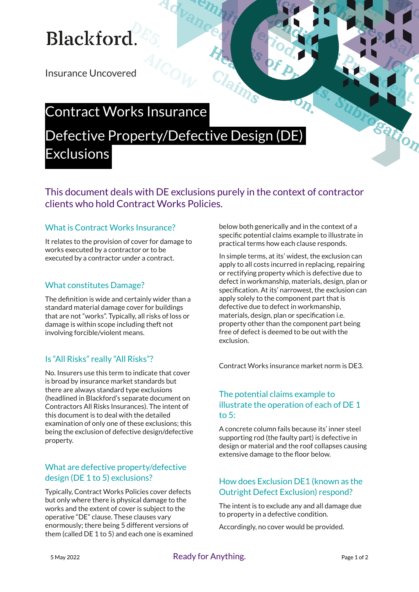# **Blackford**

Insurance Uncovered

### Contract Works Insurance

### Defective Property/Defective Design (DE) **Exclusions**

This document deals with DE exclusions purely in the context of contractor clients who hold Contract Works Policies.

#### What is Contract Works Insurance?

It relates to the provision of cover for damage to works executed by a contractor or to be executed by a contractor under a contract.

#### What constitutes Damage?

The definition is wide and certainly wider than a standard material damage cover for buildings that are not "works". Typically, all risks of loss or damage is within scope including theft not involving forcible/violent means.

#### Is "All Risks" really "All Risks"?

No. Insurers use this term to indicate that cover is broad by insurance market standards but there are always standard type exclusions (headlined in Blackford's separate document on Contractors All Risks Insurances). The intent of this document is to deal with the detailed examination of only one of these exclusions; this being the exclusion of defective design/defective property.

#### What are defective property/defective design (DE 1 to 5) exclusions?

Typically, Contract Works Policies cover defects but only where there is physical damage to the works and the extent of cover is subject to the operative "DE" clause. These clauses vary enormously; there being 5 different versions of them (called DE 1 to 5) and each one is examined below both generically and in the context of a specific potential claims example to illustrate in practical terms how each clause responds.

In simple terms, at its' widest, the exclusion can apply to all costs incurred in replacing, repairing or rectifying property which is defective due to defect in workmanship, materials, design, plan or specification. At its' narrowest, the exclusion can apply solely to the component part that is defective due to defect in workmanship, materials, design, plan or specification i.e. property other than the component part being free of defect is deemed to be out with the exclusion.

Contract Works insurance market norm is DE3.

#### The potential claims example to illustrate the operation of each of DE 1 to 5:

A concrete column fails because its' inner steel supporting rod (the faulty part) is defective in design or material and the roof collapses causing extensive damage to the floor below.

#### How does Exclusion DE1 (known as the Outright Defect Exclusion) respond?

The intent is to exclude any and all damage due to property in a defective condition.

Accordingly, no cover would be provided.